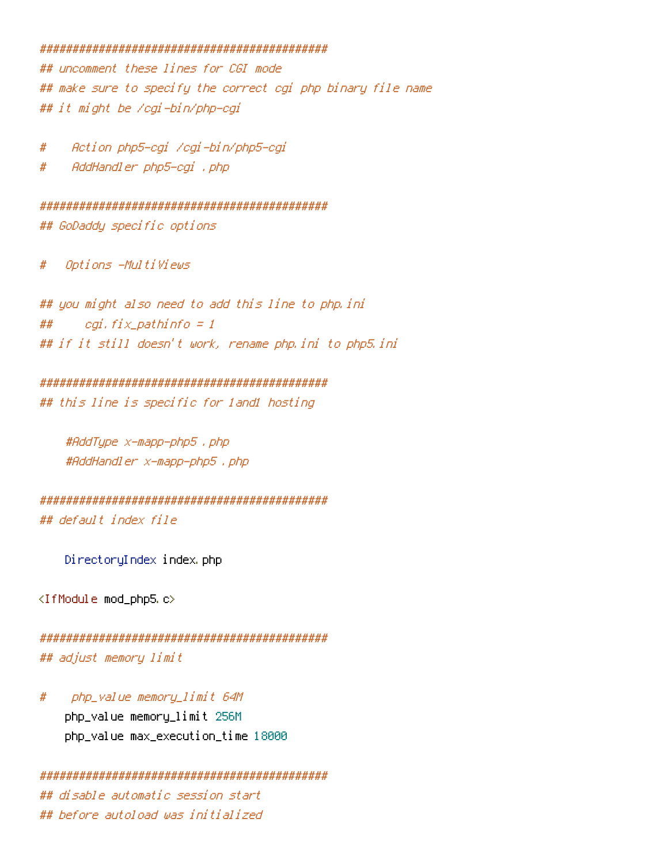### 

## uncomment these lines for CGI mode ## make sure to specify the correct cgi php binary file name ## it might be /cgi-bin/php-cgi

Action php5-egi /egi-bin/php5-egi #

AddHandler php5-cgi , php #

## GoDaddy specific options

Options -Multiviews  $#$ 

## you might also need to add this line to php.ini ## cgi, fix\_pathinfo = 1 ## if it still doesn't work, rename php.ini to php5.ini

### 

## this line is specific for land1 hosting

#AddType x-mapp-php5 . php #AddHandler x-mapp-php5, php

## default index file

DirectoryIndex index.php

<IfModule mod\_php5.c>

```
## adjust memory limit
```
php\_value memory\_limit 64M # php\_value memory\_limit 256M php\_value max\_execution\_time 18000

```
## disable automatic session start
## before autoload was initialized
```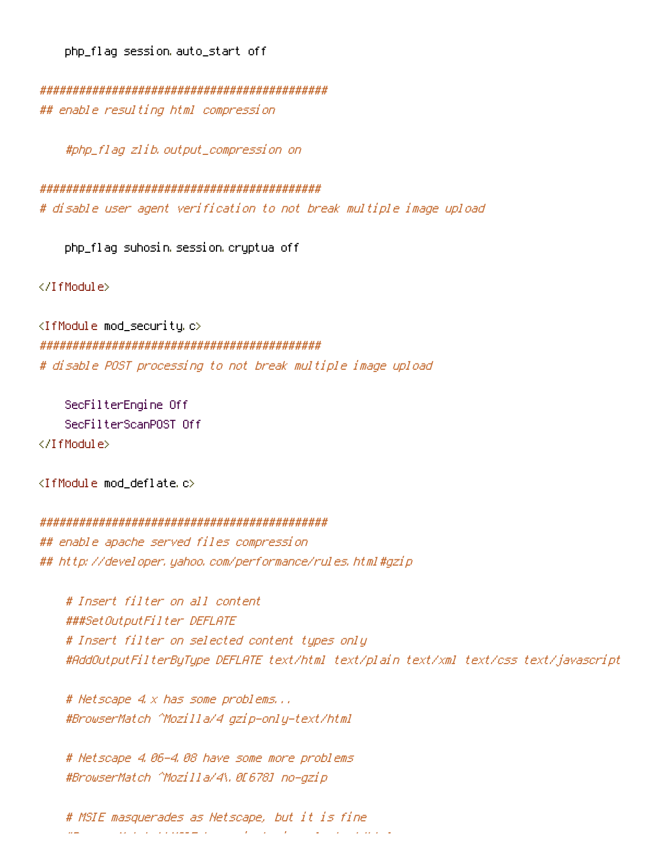php\_flag session auto\_start off

## enable resulting html compression

#php\_flag\_zlib.output\_compression\_on

# disable user agent verification to not break multiple image upload

php\_flaq suhosin session cryptua off

</IfModule>

<IfModule mod\_security.c> # disable POST processing to not break multiple image upload

SecFilterEngine Off SecFilterScanPOST Off </IfModule>

<IfModule mod deflate.c>

#### 

## enable apache served files compression ## http://developer.yahoo.com/performance/rules.html#gzip

# Insert filter on all content ###SetOutputFilter DEFLATE # Insert filter on selected content types only #AddOutputFilterByType DEFLATE text/html text/plain text/xml text/css text/javascript

# Netscape 4.x has some problems... #BrowserMatch ^Mozilla/4 qzip-only-text/html

# Netscape 4.06-4.08 have some more problems #BrowserMatch ^Mozilla/4\.0[678] no-qzip

# MSIE masquerades as Netscape, but it is fine  $\mathbf{r}$  and  $\mathbf{r}$  are the second part of  $\mathbf{r}$  $\mu =$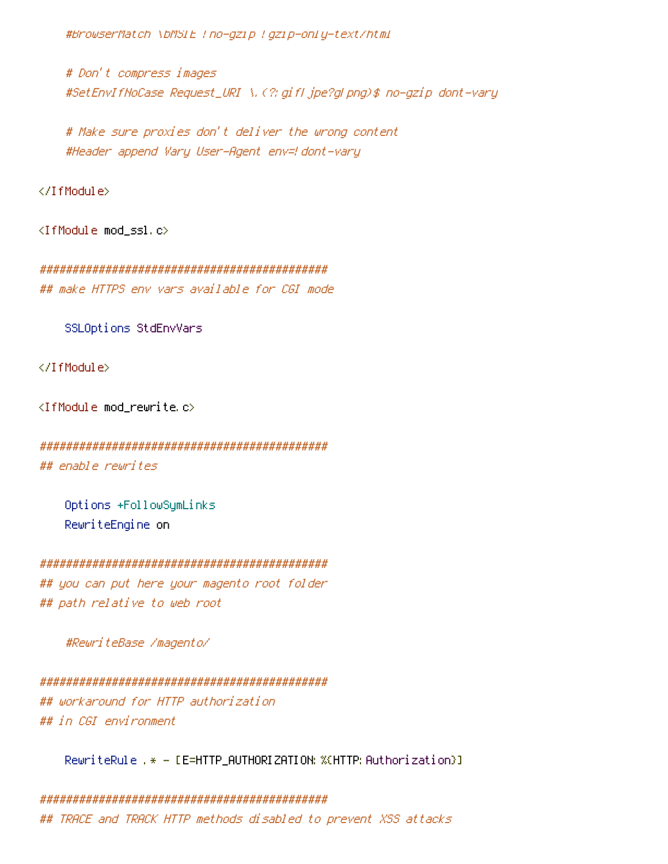#BrowserMatch \bMSIE !no-gzip ! gzip-only-text/html

# Don't compress images #SetEnvIfNoCase Request\_URI \, (?; gifl jpe?gl png)\$ no-gzip dont-vary

# Make sure proxies don't deliver the wrong content #Header append Vary User-Agent env=! dont-vary

</IfModule>

<IfModule mod\_ssl.c>

## make HTTPS env vars available for CGI mode

SSLOptions StdEnvVars

</IfModule>

<IfModule mod\_rewrite.c>

## enable rewrites

Options +FollowSymLinks RewriteEngine on

## you can put here your magento root folder ## path relative to web root

#ReuriteBase /magento/

## workaround for HTTP authorization ## in CGI environment

RewriteRule .\* - [E=HTTP\_AUTHORIZATION:%(HTTP:Authorization}]

## TRACE and TRACK HTTP methods disabled to prevent XSS attacks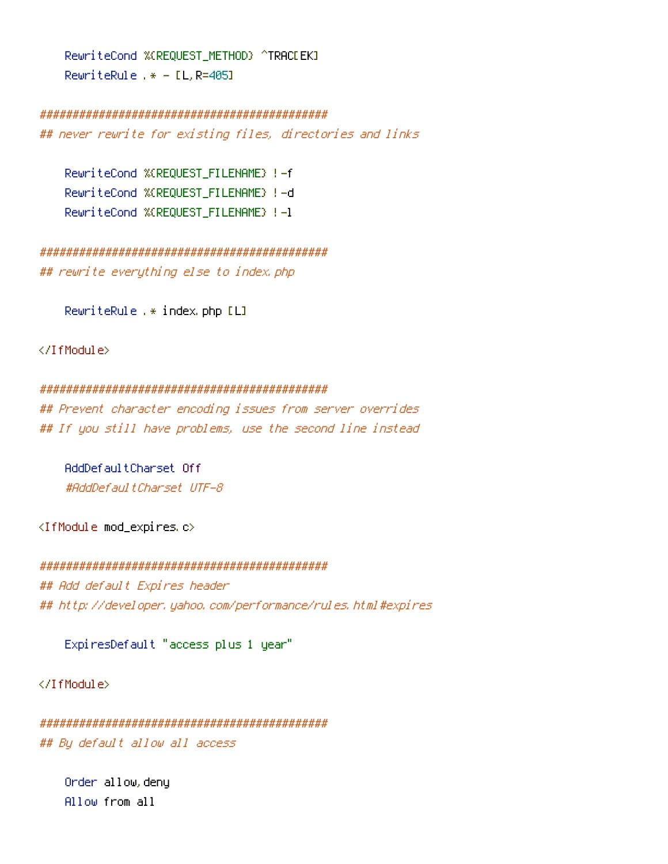RewriteCond %(REQUEST METHOD) ^TRACEEK] RewriteRule .\* -  $[L, R=405]$ 

### 

## never rewrite for existing files, directories and links

RewriteCond %(REQUEST\_FILENAME) !- f RewriteCond %(REQUEST FILENAME) !- d RewriteCond %(REQUEST FILENAME) !- 1

## rewrite everything else to index.php

RewriteRule .\* index.php [L]

</TfModule>

#### 

## Prevent character encoding issues from server overrides ## If you still have problems, use the second line instead

AddDefaultCharset Off #AddDefaultCharset UTF-8

<IfModule mod\_expires.c>

## Add default Expires header ## http://developer.yahoo.com/performance/rules.html#expires

ExpiresDefault "access plus 1 year"

</TfModule>

## By default allow all access

Order allow, deny Allow from all